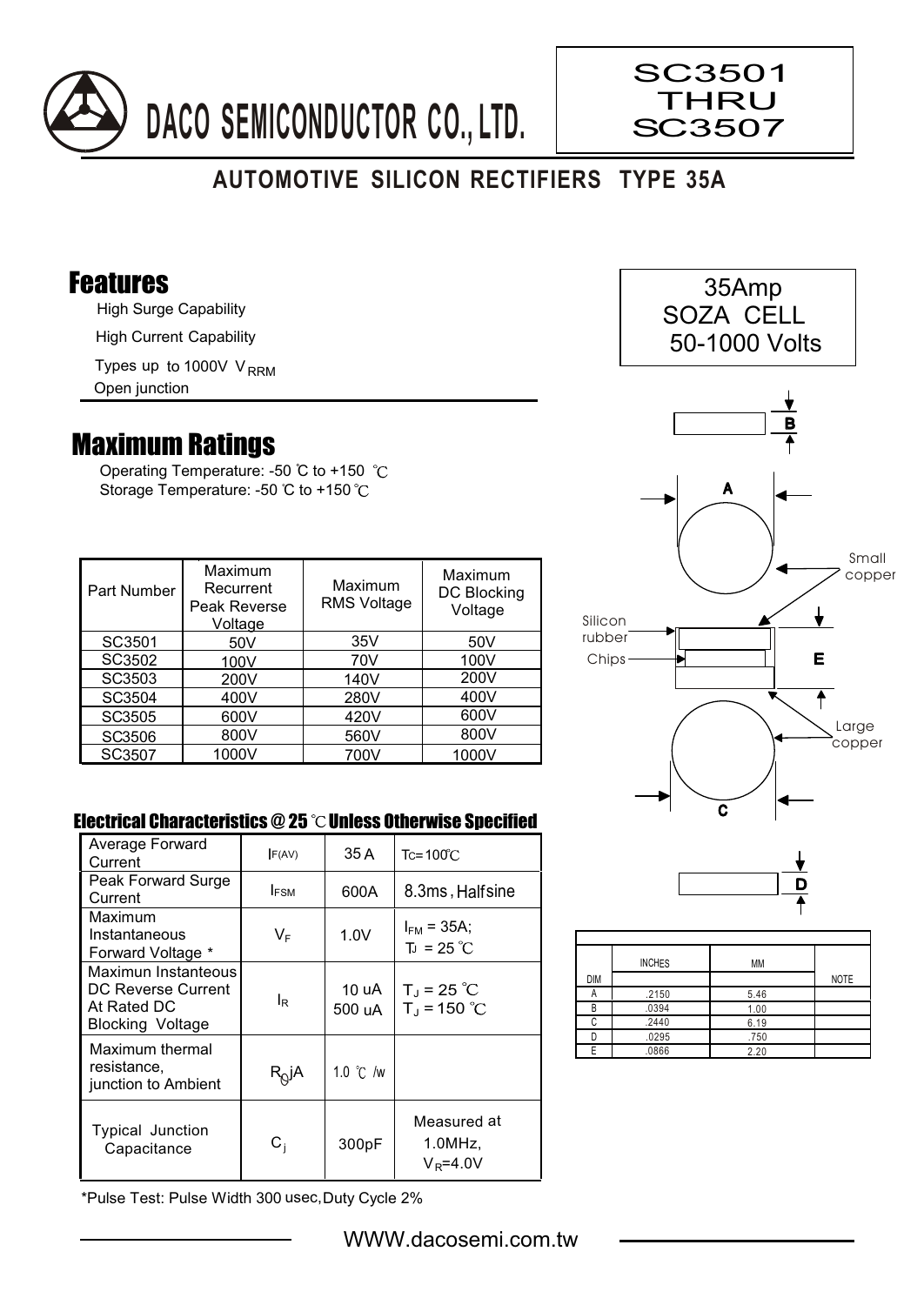

## **AUTOMOTIVE SILICON RECTIFIERS TYPE 35A**

## Features

High Surge Capability

High Current Capability

Types up to 1000V V<sub>RRM</sub>

Open junction

## Maximum Ratings

Operating Temperature: -50 °C to +150 °C Storage Temperature: -50 °C to +150 °C

| <b>Part Number</b> | Maximum<br>Recurrent<br>Peak Reverse<br>Voltage | Maximum<br><b>RMS Voltage</b> | Maximum<br>DC Blocking<br>Voltage |
|--------------------|-------------------------------------------------|-------------------------------|-----------------------------------|
| SC3501             | 50 <sub>V</sub>                                 | 35V                           | 50V                               |
| SC3502             | 100V                                            | 70V                           | 100V                              |
| SC3503             | 200V                                            | 140V                          | 200V                              |
| SC3504             | 400V                                            | 280V                          | 400V                              |
| SC3505             | 600V                                            | 420V                          | 600V                              |
| SC3506             | 800V                                            | 560V                          | 800V                              |
| SC3507             | 1000V                                           | 700V                          | 1000V                             |

## Electrical Characteristics  $@25$   $^{\circ}$ C Unless Otherwise Specified

| Average Forward<br>Current                                                   | F(AV)            | 35 A               | $Tc = 100^{\circ}$ C                  |
|------------------------------------------------------------------------------|------------------|--------------------|---------------------------------------|
| Peak Forward Surge<br>Current                                                | <b>IFSM</b>      | 600A               | 8.3ms, Halfsine                       |
| Maximum<br>Instantaneous<br>Forward Voltage *                                | VF               | 1.0V               | $I_{FM}$ = 35A;<br>$T_{J}$ = 25 °C    |
| Maximun Instanteous<br>DC Reverse Current<br>At Rated DC<br>Blocking Voltage | IR               | 10 uA<br>500 uA    | $T_J = 25 °C$<br>$T_{J}$ = 150 °C     |
| Maximum thermal<br>resistance,<br>junction to Ambient                        | $R_{Q}$ jA       | 1.0 $\degree$ C /w |                                       |
| <b>Typical Junction</b><br>Capacitance                                       | $\mathtt{C_{i}}$ | 300pF              | Measured at<br>1.0MHz<br>$V_R = 4.0V$ |

\*Pulse Test: Pulse Width 300 usec,Duty Cycle 2%



 35Amp SOZA CELL

SC3501 THRU SC3507



|            | <b>INCHES</b> | MM   |             |
|------------|---------------|------|-------------|
| <b>DIM</b> |               |      | <b>NOTE</b> |
|            | .2150         | 5.46 |             |
| P          | .0394         | 1.00 |             |
| ◠          | .2440         | 6.19 |             |
|            | .0295         | .750 |             |
|            | .0866         | 2.20 |             |

WWW.dacosemi.com.tw